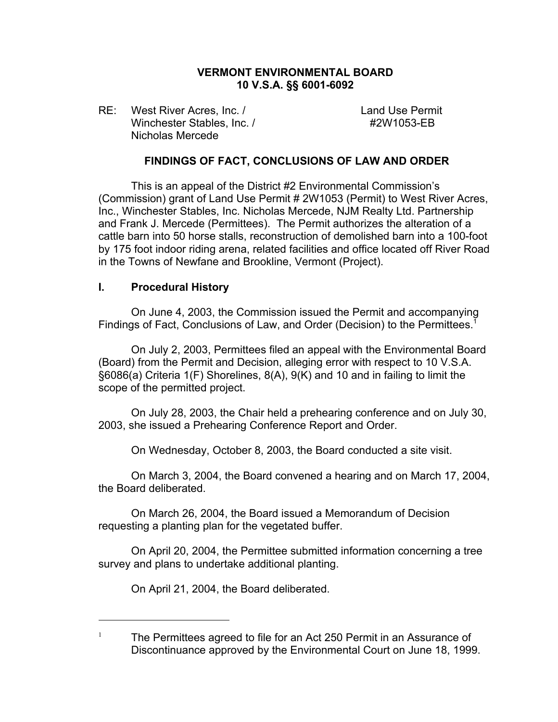# **VERMONT ENVIRONMENTAL BOARD 10 V.S.A. §§ 6001-6092**

RE: West River Acres, Inc. / Land Use Permit Winchester Stables, Inc. / #2W1053-FB Nicholas Mercede

## **FINDINGS OF FACT, CONCLUSIONS OF LAW AND ORDER**

This is an appeal of the District #2 Environmental Commission's (Commission) grant of Land Use Permit # 2W1053 (Permit) to West River Acres, Inc., Winchester Stables, Inc. Nicholas Mercede, NJM Realty Ltd. Partnership and Frank J. Mercede (Permittees). The Permit authorizes the alteration of a cattle barn into 50 horse stalls, reconstruction of demolished barn into a 100-foot by 175 foot indoor riding arena, related facilities and office located off River Road in the Towns of Newfane and Brookline, Vermont (Project).

### **I. Procedural History**

On June 4, 2003, the Commission issued the Permit and accompanying Findings of Fact, Conclusions of Law, and Order (Decision) to the Permittees.<sup>1</sup>

On July 2, 2003, Permittees filed an appeal with the Environmental Board (Board) from the Permit and Decision, alleging error with respect to 10 V.S.A. §6086(a) Criteria 1(F) Shorelines, 8(A), 9(K) and 10 and in failing to limit the scope of the permitted project.

On July 28, 2003, the Chair held a prehearing conference and on July 30, 2003, she issued a Prehearing Conference Report and Order.

On Wednesday, October 8, 2003, the Board conducted a site visit.

On March 3, 2004, the Board convened a hearing and on March 17, 2004, the Board deliberated.

On March 26, 2004, the Board issued a Memorandum of Decision requesting a planting plan for the vegetated buffer.

On April 20, 2004, the Permittee submitted information concerning a tree survey and plans to undertake additional planting.

On April 21, 2004, the Board deliberated.

<sup>1</sup> The Permittees agreed to file for an Act 250 Permit in an Assurance of Discontinuance approved by the Environmental Court on June 18, 1999.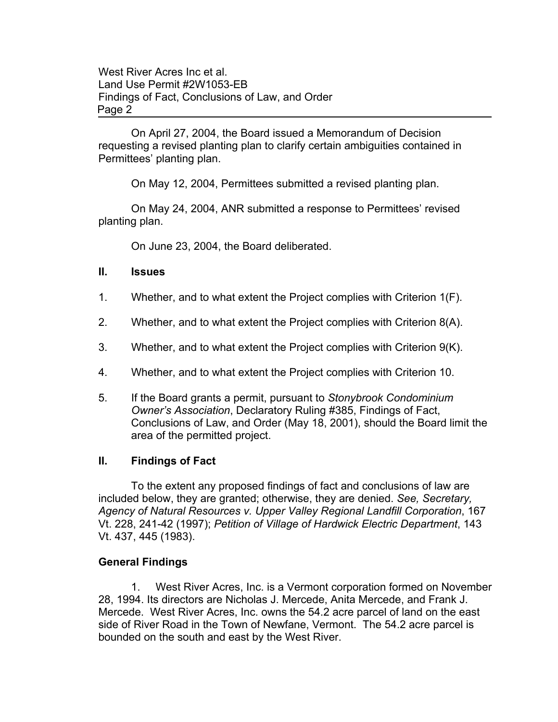On April 27, 2004, the Board issued a Memorandum of Decision requesting a revised planting plan to clarify certain ambiguities contained in Permittees' planting plan.

On May 12, 2004, Permittees submitted a revised planting plan.

On May 24, 2004, ANR submitted a response to Permittees' revised planting plan.

On June 23, 2004, the Board deliberated.

# **II. Issues**

- 1. Whether, and to what extent the Project complies with Criterion 1(F).
- 2. Whether, and to what extent the Project complies with Criterion 8(A).
- 3. Whether, and to what extent the Project complies with Criterion 9(K).
- 4. Whether, and to what extent the Project complies with Criterion 10.
- 5. If the Board grants a permit, pursuant to *Stonybrook Condominium Owner's Association*, Declaratory Ruling #385, Findings of Fact, Conclusions of Law, and Order (May 18, 2001), should the Board limit the area of the permitted project.

# **II. Findings of Fact**

To the extent any proposed findings of fact and conclusions of law are included below, they are granted; otherwise, they are denied. *See, Secretary, Agency of Natural Resources v. Upper Valley Regional Landfill Corporation*, 167 Vt. 228, 241-42 (1997); *Petition of Village of Hardwick Electric Department*, 143 Vt. 437, 445 (1983).

# **General Findings**

1. West River Acres, Inc. is a Vermont corporation formed on November 28, 1994. Its directors are Nicholas J. Mercede, Anita Mercede, and Frank J. Mercede. West River Acres, Inc. owns the 54.2 acre parcel of land on the east side of River Road in the Town of Newfane, Vermont. The 54.2 acre parcel is bounded on the south and east by the West River.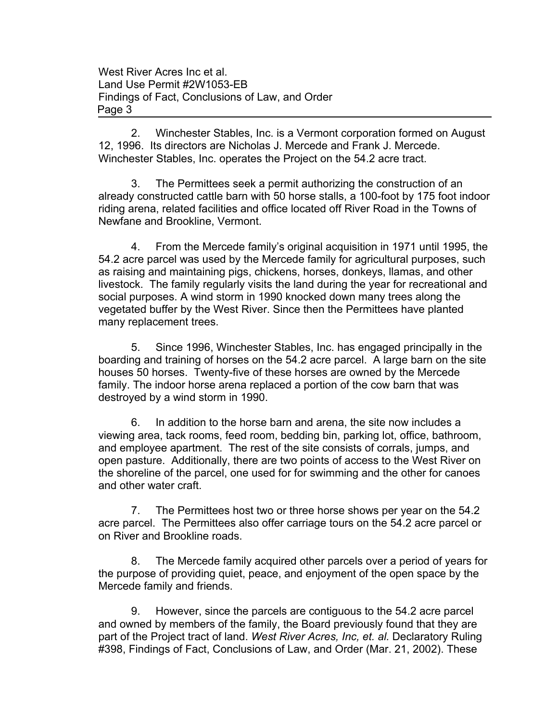2. Winchester Stables, Inc. is a Vermont corporation formed on August 12, 1996. Its directors are Nicholas J. Mercede and Frank J. Mercede. Winchester Stables, Inc. operates the Project on the 54.2 acre tract.

3. The Permittees seek a permit authorizing the construction of an already constructed cattle barn with 50 horse stalls, a 100-foot by 175 foot indoor riding arena, related facilities and office located off River Road in the Towns of Newfane and Brookline, Vermont.

4. From the Mercede family's original acquisition in 1971 until 1995, the 54.2 acre parcel was used by the Mercede family for agricultural purposes, such as raising and maintaining pigs, chickens, horses, donkeys, llamas, and other livestock. The family regularly visits the land during the year for recreational and social purposes. A wind storm in 1990 knocked down many trees along the vegetated buffer by the West River. Since then the Permittees have planted many replacement trees.

5. Since 1996, Winchester Stables, Inc. has engaged principally in the boarding and training of horses on the 54.2 acre parcel. A large barn on the site houses 50 horses. Twenty-five of these horses are owned by the Mercede family. The indoor horse arena replaced a portion of the cow barn that was destroyed by a wind storm in 1990.

6. In addition to the horse barn and arena, the site now includes a viewing area, tack rooms, feed room, bedding bin, parking lot, office, bathroom, and employee apartment. The rest of the site consists of corrals, jumps, and open pasture. Additionally, there are two points of access to the West River on the shoreline of the parcel, one used for for swimming and the other for canoes and other water craft.

7. The Permittees host two or three horse shows per year on the 54.2 acre parcel. The Permittees also offer carriage tours on the 54.2 acre parcel or on River and Brookline roads.

8. The Mercede family acquired other parcels over a period of years for the purpose of providing quiet, peace, and enjoyment of the open space by the Mercede family and friends.

9. However, since the parcels are contiguous to the 54.2 acre parcel and owned by members of the family, the Board previously found that they are part of the Project tract of land. *West River Acres, Inc, et. al.* Declaratory Ruling #398, Findings of Fact, Conclusions of Law, and Order (Mar. 21, 2002). These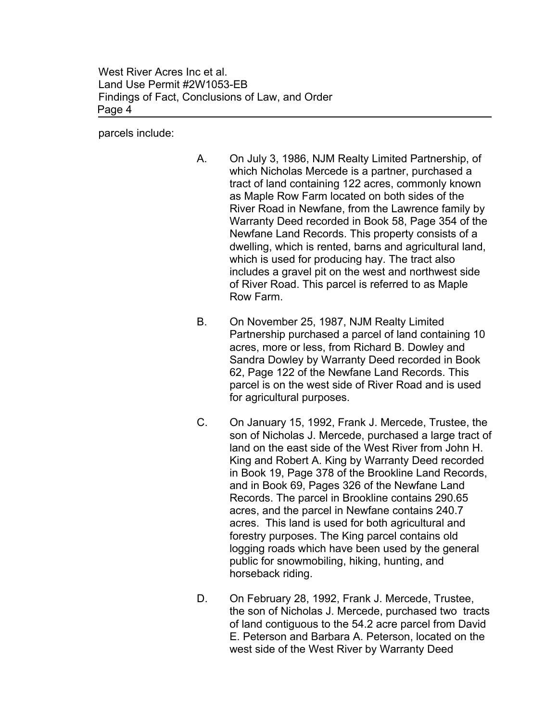parcels include:

- A. On July 3, 1986, NJM Realty Limited Partnership, of which Nicholas Mercede is a partner, purchased a tract of land containing 122 acres, commonly known as Maple Row Farm located on both sides of the River Road in Newfane, from the Lawrence family by Warranty Deed recorded in Book 58, Page 354 of the Newfane Land Records. This property consists of a dwelling, which is rented, barns and agricultural land, which is used for producing hay. The tract also includes a gravel pit on the west and northwest side of River Road. This parcel is referred to as Maple Row Farm.
- B. On November 25, 1987, NJM Realty Limited Partnership purchased a parcel of land containing 10 acres, more or less, from Richard B. Dowley and Sandra Dowley by Warranty Deed recorded in Book 62, Page 122 of the Newfane Land Records. This parcel is on the west side of River Road and is used for agricultural purposes.
- C. On January 15, 1992, Frank J. Mercede, Trustee, the son of Nicholas J. Mercede, purchased a large tract of land on the east side of the West River from John H. King and Robert A. King by Warranty Deed recorded in Book 19, Page 378 of the Brookline Land Records, and in Book 69, Pages 326 of the Newfane Land Records. The parcel in Brookline contains 290.65 acres, and the parcel in Newfane contains 240.7 acres. This land is used for both agricultural and forestry purposes. The King parcel contains old logging roads which have been used by the general public for snowmobiling, hiking, hunting, and horseback riding.
- D. On February 28, 1992, Frank J. Mercede, Trustee, the son of Nicholas J. Mercede, purchased two tracts of land contiguous to the 54.2 acre parcel from David E. Peterson and Barbara A. Peterson, located on the west side of the West River by Warranty Deed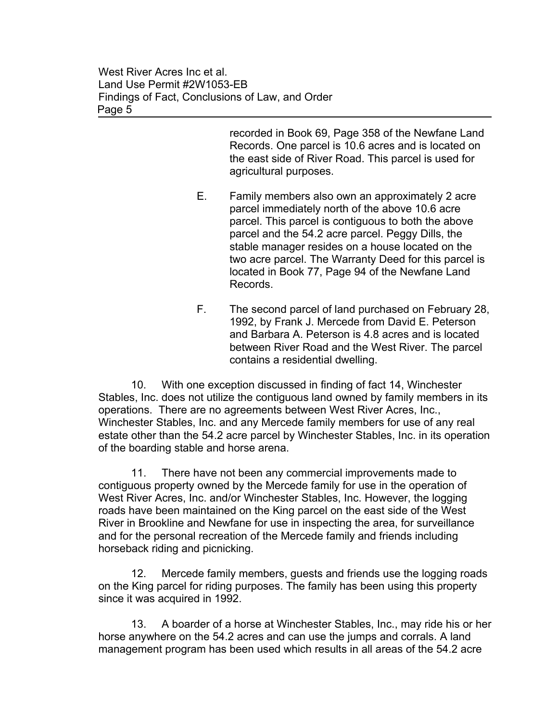> recorded in Book 69, Page 358 of the Newfane Land Records. One parcel is 10.6 acres and is located on the east side of River Road. This parcel is used for agricultural purposes.

- E. Family members also own an approximately 2 acre parcel immediately north of the above 10.6 acre parcel. This parcel is contiguous to both the above parcel and the 54.2 acre parcel. Peggy Dills, the stable manager resides on a house located on the two acre parcel. The Warranty Deed for this parcel is located in Book 77, Page 94 of the Newfane Land Records.
- F. The second parcel of land purchased on February 28, 1992, by Frank J. Mercede from David E. Peterson and Barbara A. Peterson is 4.8 acres and is located between River Road and the West River. The parcel contains a residential dwelling.

10. With one exception discussed in finding of fact 14, Winchester Stables, Inc. does not utilize the contiguous land owned by family members in its operations. There are no agreements between West River Acres, Inc., Winchester Stables, Inc. and any Mercede family members for use of any real estate other than the 54.2 acre parcel by Winchester Stables, Inc. in its operation of the boarding stable and horse arena.

11. There have not been any commercial improvements made to contiguous property owned by the Mercede family for use in the operation of West River Acres, Inc. and/or Winchester Stables, Inc. However, the logging roads have been maintained on the King parcel on the east side of the West River in Brookline and Newfane for use in inspecting the area, for surveillance and for the personal recreation of the Mercede family and friends including horseback riding and picnicking.

12. Mercede family members, guests and friends use the logging roads on the King parcel for riding purposes. The family has been using this property since it was acquired in 1992.

13. A boarder of a horse at Winchester Stables, Inc., may ride his or her horse anywhere on the 54.2 acres and can use the jumps and corrals. A land management program has been used which results in all areas of the 54.2 acre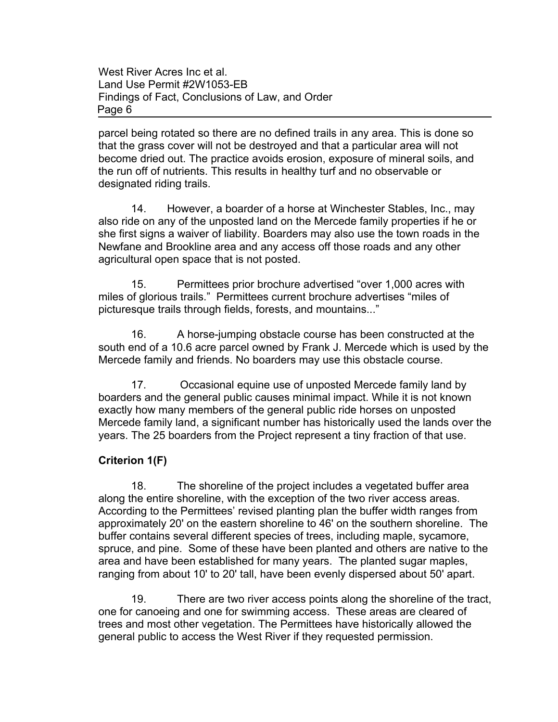parcel being rotated so there are no defined trails in any area. This is done so that the grass cover will not be destroyed and that a particular area will not become dried out. The practice avoids erosion, exposure of mineral soils, and the run off of nutrients. This results in healthy turf and no observable or designated riding trails.

14. However, a boarder of a horse at Winchester Stables, Inc., may also ride on any of the unposted land on the Mercede family properties if he or she first signs a waiver of liability. Boarders may also use the town roads in the Newfane and Brookline area and any access off those roads and any other agricultural open space that is not posted.

15. Permittees prior brochure advertised "over 1,000 acres with miles of glorious trails." Permittees current brochure advertises "miles of picturesque trails through fields, forests, and mountains..."

16. A horse-jumping obstacle course has been constructed at the south end of a 10.6 acre parcel owned by Frank J. Mercede which is used by the Mercede family and friends. No boarders may use this obstacle course.

17. Occasional equine use of unposted Mercede family land by boarders and the general public causes minimal impact. While it is not known exactly how many members of the general public ride horses on unposted Mercede family land, a significant number has historically used the lands over the years. The 25 boarders from the Project represent a tiny fraction of that use.

# **Criterion 1(F)**

18. The shoreline of the project includes a vegetated buffer area along the entire shoreline, with the exception of the two river access areas. According to the Permittees' revised planting plan the buffer width ranges from approximately 20' on the eastern shoreline to 46' on the southern shoreline. The buffer contains several different species of trees, including maple, sycamore, spruce, and pine. Some of these have been planted and others are native to the area and have been established for many years. The planted sugar maples, ranging from about 10' to 20' tall, have been evenly dispersed about 50' apart.

19. There are two river access points along the shoreline of the tract, one for canoeing and one for swimming access. These areas are cleared of trees and most other vegetation. The Permittees have historically allowed the general public to access the West River if they requested permission.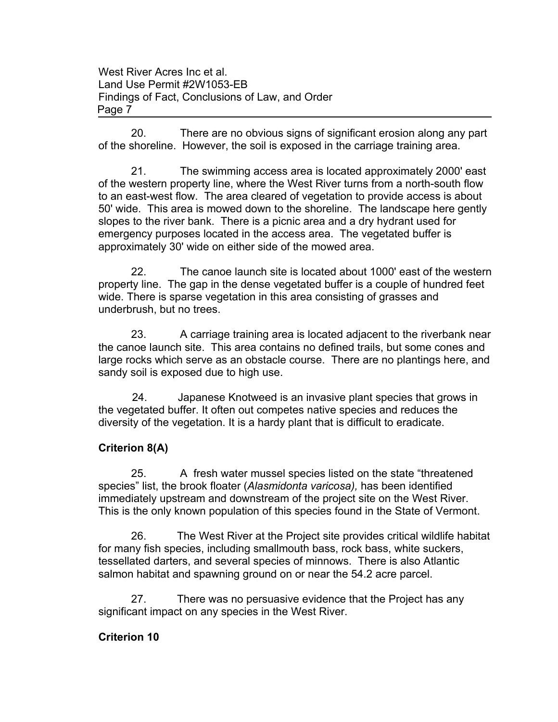20. There are no obvious signs of significant erosion along any part of the shoreline. However, the soil is exposed in the carriage training area.

21. The swimming access area is located approximately 2000' east of the western property line, where the West River turns from a north-south flow to an east-west flow. The area cleared of vegetation to provide access is about 50' wide. This area is mowed down to the shoreline. The landscape here gently slopes to the river bank. There is a picnic area and a dry hydrant used for emergency purposes located in the access area. The vegetated buffer is approximately 30' wide on either side of the mowed area.

22. The canoe launch site is located about 1000' east of the western property line. The gap in the dense vegetated buffer is a couple of hundred feet wide. There is sparse vegetation in this area consisting of grasses and underbrush, but no trees.

23. A carriage training area is located adjacent to the riverbank near the canoe launch site. This area contains no defined trails, but some cones and large rocks which serve as an obstacle course. There are no plantings here, and sandy soil is exposed due to high use.

 24. Japanese Knotweed is an invasive plant species that grows in the vegetated buffer. It often out competes native species and reduces the diversity of the vegetation. It is a hardy plant that is difficult to eradicate.

# **Criterion 8(A)**

25. A fresh water mussel species listed on the state "threatened species" list, the brook floater (*Alasmidonta varicosa),* has been identified immediately upstream and downstream of the project site on the West River. This is the only known population of this species found in the State of Vermont.

26. The West River at the Project site provides critical wildlife habitat for many fish species, including smallmouth bass, rock bass, white suckers, tessellated darters, and several species of minnows. There is also Atlantic salmon habitat and spawning ground on or near the 54.2 acre parcel.

27. There was no persuasive evidence that the Project has any significant impact on any species in the West River.

## **Criterion 10**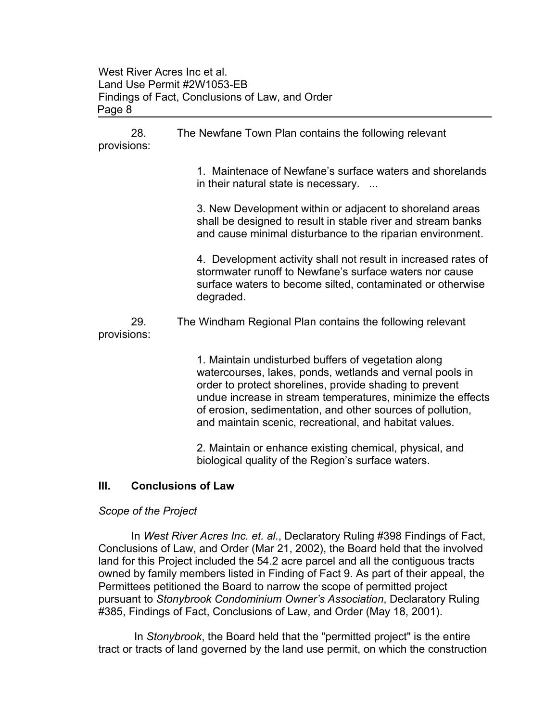28. The Newfane Town Plan contains the following relevant provisions:

> 1. Maintenace of Newfane's surface waters and shorelands in their natural state is necessary. ...

3. New Development within or adjacent to shoreland areas shall be designed to result in stable river and stream banks and cause minimal disturbance to the riparian environment.

4. Development activity shall not result in increased rates of stormwater runoff to Newfane's surface waters nor cause surface waters to become silted, contaminated or otherwise degraded.

29. The Windham Regional Plan contains the following relevant provisions:

> 1. Maintain undisturbed buffers of vegetation along watercourses, lakes, ponds, wetlands and vernal pools in order to protect shorelines, provide shading to prevent undue increase in stream temperatures, minimize the effects of erosion, sedimentation, and other sources of pollution, and maintain scenic, recreational, and habitat values.

2. Maintain or enhance existing chemical, physical, and biological quality of the Region's surface waters.

## **III. Conclusions of Law**

## *Scope of the Project*

In *West River Acres Inc. et. al.*, Declaratory Ruling #398 Findings of Fact, Conclusions of Law, and Order (Mar 21, 2002), the Board held that the involved land for this Project included the 54.2 acre parcel and all the contiguous tracts owned by family members listed in Finding of Fact 9. As part of their appeal, the Permittees petitioned the Board to narrow the scope of permitted project pursuant to *Stonybrook Condominium Owner's Association*, Declaratory Ruling #385, Findings of Fact, Conclusions of Law, and Order (May 18, 2001).

 In *Stonybrook*, the Board held that the "permitted project" is the entire tract or tracts of land governed by the land use permit, on which the construction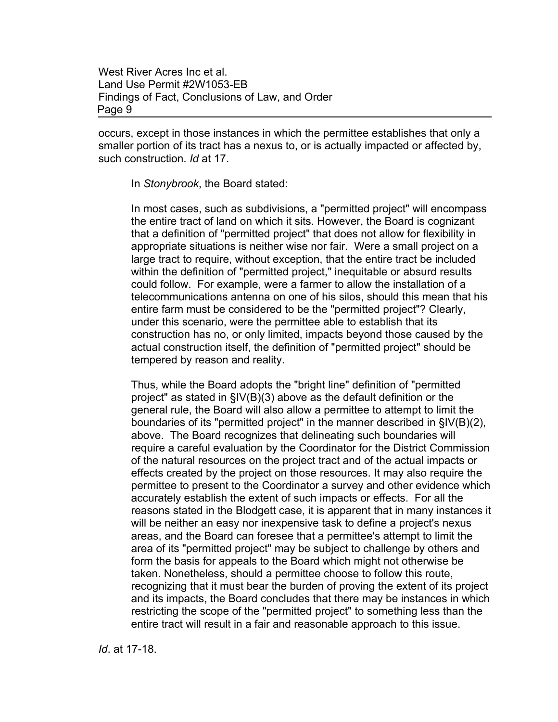occurs, except in those instances in which the permittee establishes that only a smaller portion of its tract has a nexus to, or is actually impacted or affected by, such construction. *Id* at 17.

In *Stonybrook*, the Board stated:

In most cases, such as subdivisions, a "permitted project" will encompass the entire tract of land on which it sits. However, the Board is cognizant that a definition of "permitted project" that does not allow for flexibility in appropriate situations is neither wise nor fair. Were a small project on a large tract to require, without exception, that the entire tract be included within the definition of "permitted project," inequitable or absurd results could follow. For example, were a farmer to allow the installation of a telecommunications antenna on one of his silos, should this mean that his entire farm must be considered to be the "permitted project"? Clearly, under this scenario, were the permittee able to establish that its construction has no, or only limited, impacts beyond those caused by the actual construction itself, the definition of "permitted project" should be tempered by reason and reality.

Thus, while the Board adopts the "bright line" definition of "permitted project" as stated in §IV(B)(3) above as the default definition or the general rule, the Board will also allow a permittee to attempt to limit the boundaries of its "permitted project" in the manner described in §IV(B)(2), above. The Board recognizes that delineating such boundaries will require a careful evaluation by the Coordinator for the District Commission of the natural resources on the project tract and of the actual impacts or effects created by the project on those resources. It may also require the permittee to present to the Coordinator a survey and other evidence which accurately establish the extent of such impacts or effects. For all the reasons stated in the Blodgett case, it is apparent that in many instances it will be neither an easy nor inexpensive task to define a project's nexus areas, and the Board can foresee that a permittee's attempt to limit the area of its "permitted project" may be subject to challenge by others and form the basis for appeals to the Board which might not otherwise be taken. Nonetheless, should a permittee choose to follow this route, recognizing that it must bear the burden of proving the extent of its project and its impacts, the Board concludes that there may be instances in which restricting the scope of the "permitted project" to something less than the entire tract will result in a fair and reasonable approach to this issue.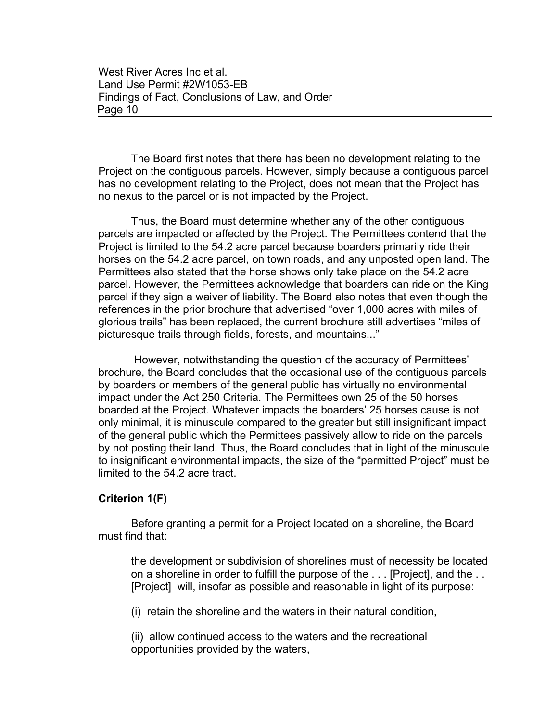The Board first notes that there has been no development relating to the Project on the contiguous parcels. However, simply because a contiguous parcel has no development relating to the Project, does not mean that the Project has no nexus to the parcel or is not impacted by the Project.

Thus, the Board must determine whether any of the other contiguous parcels are impacted or affected by the Project. The Permittees contend that the Project is limited to the 54.2 acre parcel because boarders primarily ride their horses on the 54.2 acre parcel, on town roads, and any unposted open land. The Permittees also stated that the horse shows only take place on the 54.2 acre parcel. However, the Permittees acknowledge that boarders can ride on the King parcel if they sign a waiver of liability. The Board also notes that even though the references in the prior brochure that advertised "over 1,000 acres with miles of glorious trails" has been replaced, the current brochure still advertises "miles of picturesque trails through fields, forests, and mountains..."

 However, notwithstanding the question of the accuracy of Permittees' brochure, the Board concludes that the occasional use of the contiguous parcels by boarders or members of the general public has virtually no environmental impact under the Act 250 Criteria. The Permittees own 25 of the 50 horses boarded at the Project. Whatever impacts the boarders' 25 horses cause is not only minimal, it is minuscule compared to the greater but still insignificant impact of the general public which the Permittees passively allow to ride on the parcels by not posting their land. Thus, the Board concludes that in light of the minuscule to insignificant environmental impacts, the size of the "permitted Project" must be limited to the 54.2 acre tract.

### **Criterion 1(F)**

Before granting a permit for a Project located on a shoreline, the Board must find that:

the development or subdivision of shorelines must of necessity be located on a shoreline in order to fulfill the purpose of the . . . [Project], and the . . [Project] will, insofar as possible and reasonable in light of its purpose:

(i) retain the shoreline and the waters in their natural condition,

(ii) allow continued access to the waters and the recreational opportunities provided by the waters,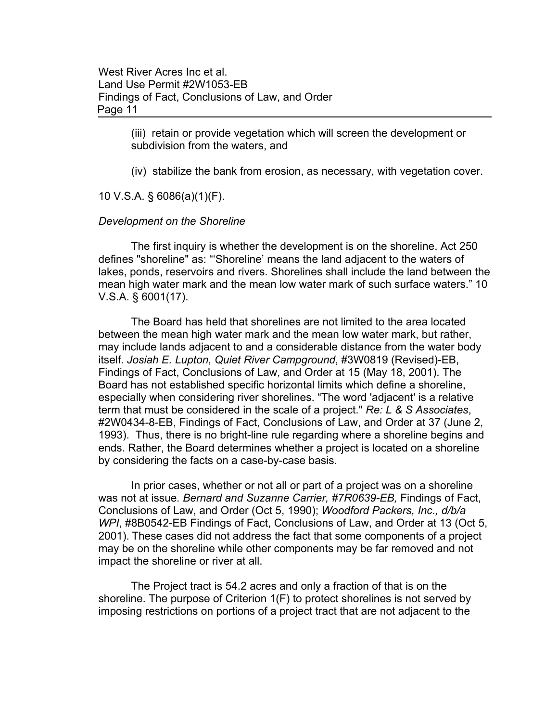> (iii) retain or provide vegetation which will screen the development or subdivision from the waters, and

(iv) stabilize the bank from erosion, as necessary, with vegetation cover.

10 V.S.A. § 6086(a)(1)(F).

#### *Development on the Shoreline*

The first inquiry is whether the development is on the shoreline. Act 250 defines "shoreline" as: "'Shoreline' means the land adjacent to the waters of lakes, ponds, reservoirs and rivers. Shorelines shall include the land between the mean high water mark and the mean low water mark of such surface waters." 10 V.S.A. § 6001(17).

The Board has held that shorelines are not limited to the area located between the mean high water mark and the mean low water mark, but rather, may include lands adjacent to and a considerable distance from the water body itself. *Josiah E. Lupton, Quiet River Campground*, #3W0819 (Revised)-EB, Findings of Fact, Conclusions of Law, and Order at 15 (May 18, 2001). The Board has not established specific horizontal limits which define a shoreline, especially when considering river shorelines. "The word 'adjacent' is a relative term that must be considered in the scale of a project." *Re: L & S Associates*, #2W0434-8-EB, Findings of Fact, Conclusions of Law, and Order at 37 (June 2, 1993). Thus, there is no bright-line rule regarding where a shoreline begins and ends. Rather, the Board determines whether a project is located on a shoreline by considering the facts on a case-by-case basis.

In prior cases, whether or not all or part of a project was on a shoreline was not at issue*. Bernard and Suzanne Carrier, #7R0639-EB,* Findings of Fact, Conclusions of Law, and Order (Oct 5, 1990); *Woodford Packers, Inc., d/b/a WPI*, #8B0542-EB Findings of Fact, Conclusions of Law, and Order at 13 (Oct 5, 2001). These cases did not address the fact that some components of a project may be on the shoreline while other components may be far removed and not impact the shoreline or river at all.

The Project tract is 54.2 acres and only a fraction of that is on the shoreline. The purpose of Criterion 1(F) to protect shorelines is not served by imposing restrictions on portions of a project tract that are not adjacent to the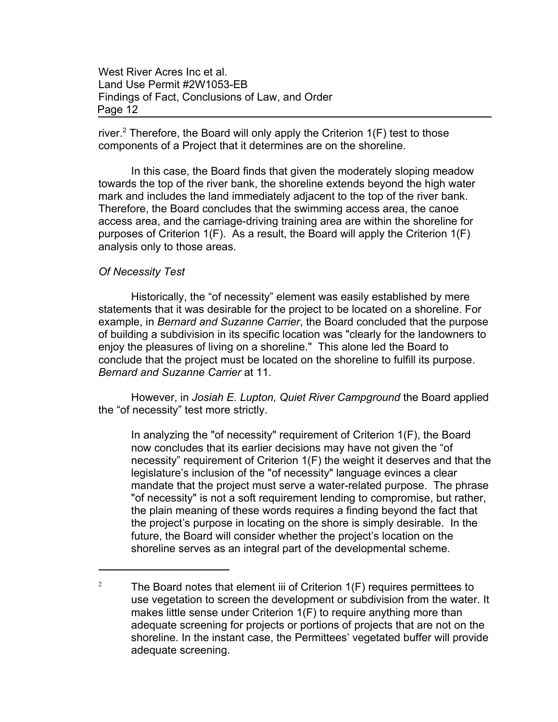river.<sup>2</sup> Therefore, the Board will only apply the Criterion  $1(F)$  test to those components of a Project that it determines are on the shoreline.

In this case, the Board finds that given the moderately sloping meadow towards the top of the river bank, the shoreline extends beyond the high water mark and includes the land immediately adjacent to the top of the river bank. Therefore, the Board concludes that the swimming access area, the canoe access area, and the carriage-driving training area are within the shoreline for purposes of Criterion 1(F). As a result, the Board will apply the Criterion 1(F) analysis only to those areas.

#### *Of Necessity Test*

Historically, the "of necessity" element was easily established by mere statements that it was desirable for the project to be located on a shoreline. For example, in *Bernard and Suzanne Carrier*, the Board concluded that the purpose of building a subdivision in its specific location was "clearly for the landowners to enjoy the pleasures of living on a shoreline." This alone led the Board to conclude that the project must be located on the shoreline to fulfill its purpose. *Bernard and Suzanne Carrier* at 11.

However, in *Josiah E. Lupton, Quiet River Campground* the Board applied the "of necessity" test more strictly.

In analyzing the "of necessity" requirement of Criterion 1(F), the Board now concludes that its earlier decisions may have not given the "of necessity" requirement of Criterion 1(F) the weight it deserves and that the legislature's inclusion of the "of necessity" language evinces a clear mandate that the project must serve a water-related purpose. The phrase "of necessity" is not a soft requirement lending to compromise, but rather, the plain meaning of these words requires a finding beyond the fact that the project's purpose in locating on the shore is simply desirable. In the future, the Board will consider whether the project's location on the shoreline serves as an integral part of the developmental scheme.

<sup>&</sup>lt;sup>2</sup> The Board notes that element iii of Criterion  $1(F)$  requires permittees to use vegetation to screen the development or subdivision from the water. It makes little sense under Criterion 1(F) to require anything more than adequate screening for projects or portions of projects that are not on the shoreline. In the instant case, the Permittees' vegetated buffer will provide adequate screening.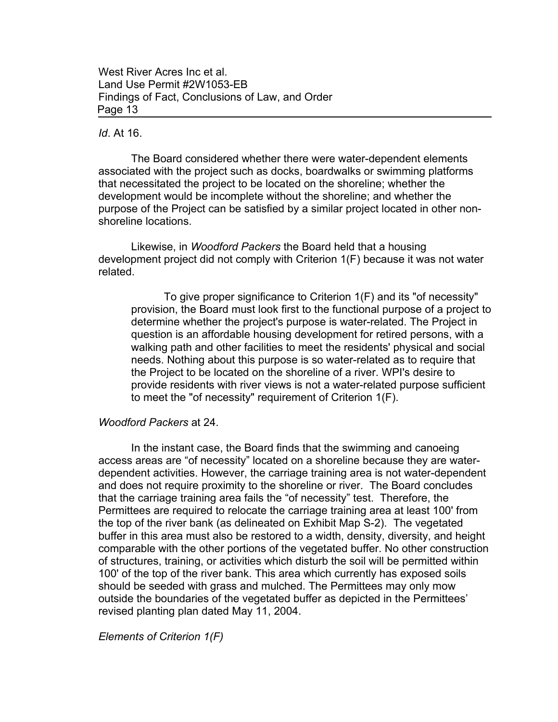#### *Id*. At 16.

The Board considered whether there were water-dependent elements associated with the project such as docks, boardwalks or swimming platforms that necessitated the project to be located on the shoreline; whether the development would be incomplete without the shoreline; and whether the purpose of the Project can be satisfied by a similar project located in other nonshoreline locations.

Likewise, in *Woodford Packers* the Board held that a housing development project did not comply with Criterion 1(F) because it was not water related.

To give proper significance to Criterion 1(F) and its "of necessity" provision, the Board must look first to the functional purpose of a project to determine whether the project's purpose is water-related. The Project in question is an affordable housing development for retired persons, with a walking path and other facilities to meet the residents' physical and social needs. Nothing about this purpose is so water-related as to require that the Project to be located on the shoreline of a river. WPI's desire to provide residents with river views is not a water-related purpose sufficient to meet the "of necessity" requirement of Criterion 1(F).

### *Woodford Packers* at 24.

In the instant case, the Board finds that the swimming and canoeing access areas are "of necessity" located on a shoreline because they are waterdependent activities. However, the carriage training area is not water-dependent and does not require proximity to the shoreline or river. The Board concludes that the carriage training area fails the "of necessity" test. Therefore, the Permittees are required to relocate the carriage training area at least 100' from the top of the river bank (as delineated on Exhibit Map S-2). The vegetated buffer in this area must also be restored to a width, density, diversity, and height comparable with the other portions of the vegetated buffer. No other construction of structures, training, or activities which disturb the soil will be permitted within 100' of the top of the river bank. This area which currently has exposed soils should be seeded with grass and mulched. The Permittees may only mow outside the boundaries of the vegetated buffer as depicted in the Permittees' revised planting plan dated May 11, 2004.

*Elements of Criterion 1(F)*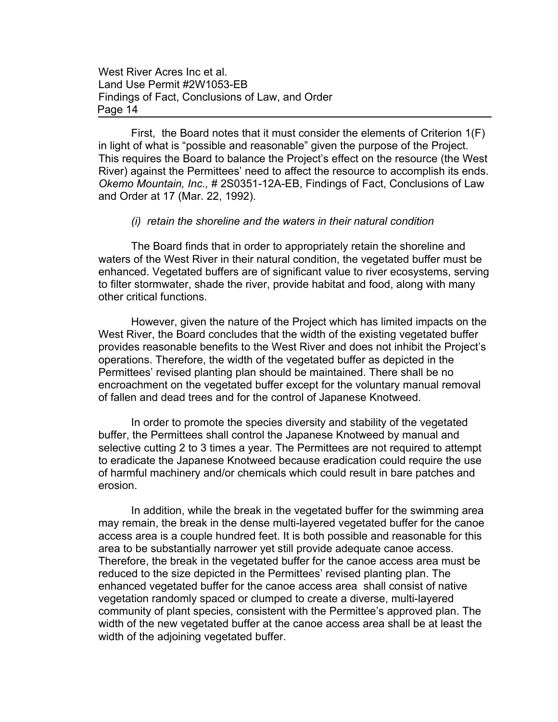First, the Board notes that it must consider the elements of Criterion 1(F) in light of what is "possible and reasonable" given the purpose of the Project. This requires the Board to balance the Project's effect on the resource (the West River) against the Permittees' need to affect the resource to accomplish its ends. *Okemo Mountain, Inc.,* # 2S0351-12A-EB, Findings of Fact, Conclusions of Law and Order at 17 (Mar. 22, 1992).

#### *(i) retain the shoreline and the waters in their natural condition*

The Board finds that in order to appropriately retain the shoreline and waters of the West River in their natural condition, the vegetated buffer must be enhanced. Vegetated buffers are of significant value to river ecosystems, serving to filter stormwater, shade the river, provide habitat and food, along with many other critical functions.

However, given the nature of the Project which has limited impacts on the West River, the Board concludes that the width of the existing vegetated buffer provides reasonable benefits to the West River and does not inhibit the Project's operations. Therefore, the width of the vegetated buffer as depicted in the Permittees' revised planting plan should be maintained. There shall be no encroachment on the vegetated buffer except for the voluntary manual removal of fallen and dead trees and for the control of Japanese Knotweed.

In order to promote the species diversity and stability of the vegetated buffer, the Permittees shall control the Japanese Knotweed by manual and selective cutting 2 to 3 times a year. The Permittees are not required to attempt to eradicate the Japanese Knotweed because eradication could require the use of harmful machinery and/or chemicals which could result in bare patches and erosion.

In addition, while the break in the vegetated buffer for the swimming area may remain, the break in the dense multi-layered vegetated buffer for the canoe access area is a couple hundred feet. It is both possible and reasonable for this area to be substantially narrower yet still provide adequate canoe access. Therefore, the break in the vegetated buffer for the canoe access area must be reduced to the size depicted in the Permittees' revised planting plan. The enhanced vegetated buffer for the canoe access area shall consist of native vegetation randomly spaced or clumped to create a diverse, multi-layered community of plant species, consistent with the Permittee's approved plan. The width of the new vegetated buffer at the canoe access area shall be at least the width of the adjoining vegetated buffer.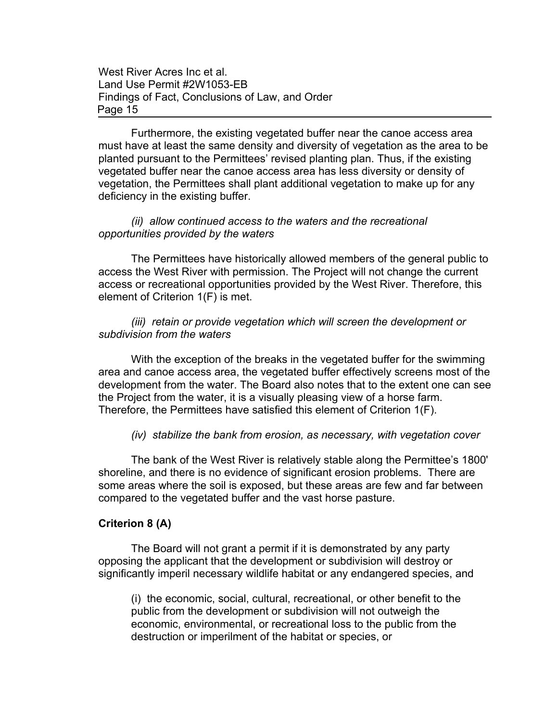Furthermore, the existing vegetated buffer near the canoe access area must have at least the same density and diversity of vegetation as the area to be planted pursuant to the Permittees' revised planting plan. Thus, if the existing vegetated buffer near the canoe access area has less diversity or density of vegetation, the Permittees shall plant additional vegetation to make up for any deficiency in the existing buffer.

### *(ii) allow continued access to the waters and the recreational opportunities provided by the waters*

The Permittees have historically allowed members of the general public to access the West River with permission. The Project will not change the current access or recreational opportunities provided by the West River. Therefore, this element of Criterion 1(F) is met.

*(iii) retain or provide vegetation which will screen the development or subdivision from the waters*

With the exception of the breaks in the vegetated buffer for the swimming area and canoe access area, the vegetated buffer effectively screens most of the development from the water. The Board also notes that to the extent one can see the Project from the water, it is a visually pleasing view of a horse farm. Therefore, the Permittees have satisfied this element of Criterion 1(F).

### *(iv) stabilize the bank from erosion, as necessary, with vegetation cover*

The bank of the West River is relatively stable along the Permittee's 1800' shoreline, and there is no evidence of significant erosion problems. There are some areas where the soil is exposed, but these areas are few and far between compared to the vegetated buffer and the vast horse pasture.

#### **Criterion 8 (A)**

The Board will not grant a permit if it is demonstrated by any party opposing the applicant that the development or subdivision will destroy or significantly imperil necessary wildlife habitat or any endangered species, and

(i) the economic, social, cultural, recreational, or other benefit to the public from the development or subdivision will not outweigh the economic, environmental, or recreational loss to the public from the destruction or imperilment of the habitat or species, or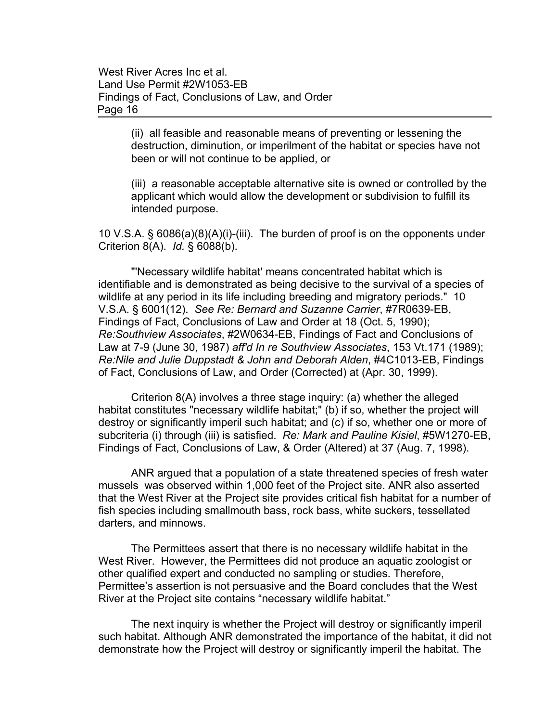> (ii) all feasible and reasonable means of preventing or lessening the destruction, diminution, or imperilment of the habitat or species have not been or will not continue to be applied, or

(iii) a reasonable acceptable alternative site is owned or controlled by the applicant which would allow the development or subdivision to fulfill its intended purpose.

10 V.S.A. § 6086(a)(8)(A)(i)-(iii). The burden of proof is on the opponents under Criterion 8(A). *Id.* § 6088(b).

"'Necessary wildlife habitat' means concentrated habitat which is identifiable and is demonstrated as being decisive to the survival of a species of wildlife at any period in its life including breeding and migratory periods." 10 V.S.A. § 6001(12). *See Re: Bernard and Suzanne Carrier*, #7R0639-EB, Findings of Fact, Conclusions of Law and Order at 18 (Oct. 5, 1990); *Re:Southview Associates*, #2W0634-EB, Findings of Fact and Conclusions of Law at 7-9 (June 30, 1987) *aff'd In re Southview Associates*, 153 Vt.171 (1989); *Re:Nile and Julie Duppstadt & John and Deborah Alden*, #4C1013-EB, Findings of Fact, Conclusions of Law, and Order (Corrected) at (Apr. 30, 1999).

Criterion 8(A) involves a three stage inquiry: (a) whether the alleged habitat constitutes "necessary wildlife habitat;" (b) if so, whether the project will destroy or significantly imperil such habitat; and (c) if so, whether one or more of subcriteria (i) through (iii) is satisfied. *Re: Mark and Pauline Kisiel*, #5W1270-EB, Findings of Fact, Conclusions of Law, & Order (Altered) at 37 (Aug. 7, 1998).

ANR argued that a population of a state threatened species of fresh water mussels was observed within 1,000 feet of the Project site. ANR also asserted that the West River at the Project site provides critical fish habitat for a number of fish species including smallmouth bass, rock bass, white suckers, tessellated darters, and minnows.

The Permittees assert that there is no necessary wildlife habitat in the West River. However, the Permittees did not produce an aquatic zoologist or other qualified expert and conducted no sampling or studies. Therefore, Permittee's assertion is not persuasive and the Board concludes that the West River at the Project site contains "necessary wildlife habitat."

The next inquiry is whether the Project will destroy or significantly imperil such habitat. Although ANR demonstrated the importance of the habitat, it did not demonstrate how the Project will destroy or significantly imperil the habitat. The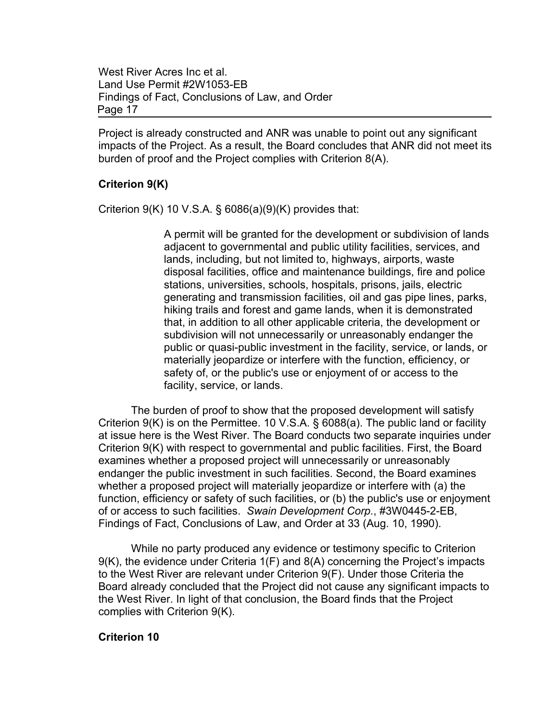Project is already constructed and ANR was unable to point out any significant impacts of the Project. As a result, the Board concludes that ANR did not meet its burden of proof and the Project complies with Criterion 8(A).

## **Criterion 9(K)**

Criterion  $9(K)$  10 V.S.A. § 6086(a)(9)(K) provides that:

A permit will be granted for the development or subdivision of lands adjacent to governmental and public utility facilities, services, and lands, including, but not limited to, highways, airports, waste disposal facilities, office and maintenance buildings, fire and police stations, universities, schools, hospitals, prisons, jails, electric generating and transmission facilities, oil and gas pipe lines, parks, hiking trails and forest and game lands, when it is demonstrated that, in addition to all other applicable criteria, the development or subdivision will not unnecessarily or unreasonably endanger the public or quasi-public investment in the facility, service, or lands, or materially jeopardize or interfere with the function, efficiency, or safety of, or the public's use or enjoyment of or access to the facility, service, or lands.

The burden of proof to show that the proposed development will satisfy Criterion 9(K) is on the Permittee. 10 V.S.A. § 6088(a). The public land or facility at issue here is the West River. The Board conducts two separate inquiries under Criterion 9(K) with respect to governmental and public facilities. First, the Board examines whether a proposed project will unnecessarily or unreasonably endanger the public investment in such facilities. Second, the Board examines whether a proposed project will materially jeopardize or interfere with (a) the function, efficiency or safety of such facilities, or (b) the public's use or enjoyment of or access to such facilities. *Swain Development Corp.*, #3W0445-2-EB, Findings of Fact, Conclusions of Law, and Order at 33 (Aug. 10, 1990).

While no party produced any evidence or testimony specific to Criterion 9(K), the evidence under Criteria 1(F) and 8(A) concerning the Project's impacts to the West River are relevant under Criterion 9(F). Under those Criteria the Board already concluded that the Project did not cause any significant impacts to the West River. In light of that conclusion, the Board finds that the Project complies with Criterion 9(K).

### **Criterion 10**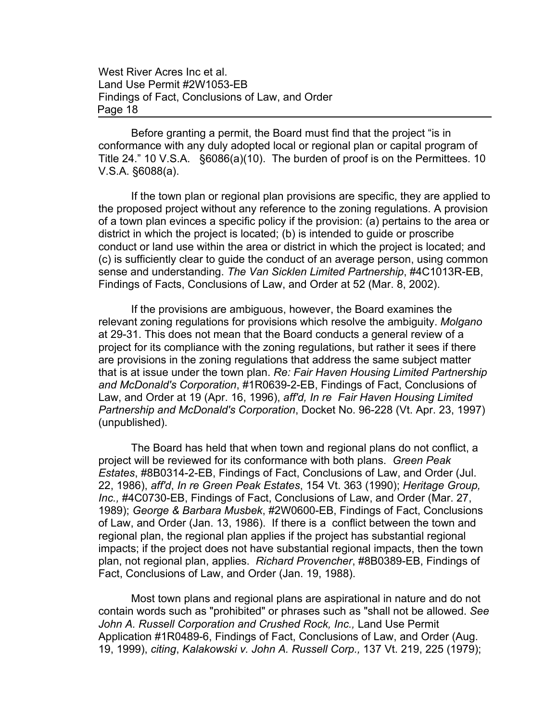Before granting a permit, the Board must find that the project "is in conformance with any duly adopted local or regional plan or capital program of Title 24." 10 V.S.A. §6086(a)(10). The burden of proof is on the Permittees. 10 V.S.A. §6088(a).

If the town plan or regional plan provisions are specific, they are applied to the proposed project without any reference to the zoning regulations. A provision of a town plan evinces a specific policy if the provision: (a) pertains to the area or district in which the project is located; (b) is intended to guide or proscribe conduct or land use within the area or district in which the project is located; and (c) is sufficiently clear to guide the conduct of an average person, using common sense and understanding. *The Van Sicklen Limited Partnership*, #4C1013R-EB, Findings of Facts, Conclusions of Law, and Order at 52 (Mar. 8, 2002).

If the provisions are ambiguous, however, the Board examines the relevant zoning regulations for provisions which resolve the ambiguity. *Molgano* at 29-31. This does not mean that the Board conducts a general review of a project for its compliance with the zoning regulations, but rather it sees if there are provisions in the zoning regulations that address the same subject matter that is at issue under the town plan. *Re: Fair Haven Housing Limited Partnership and McDonald's Corporation*, #1R0639-2-EB, Findings of Fact, Conclusions of Law, and Order at 19 (Apr. 16, 1996), *aff'd, In re Fair Haven Housing Limited Partnership and McDonald's Corporation*, Docket No. 96-228 (Vt. Apr. 23, 1997) (unpublished).

The Board has held that when town and regional plans do not conflict, a project will be reviewed for its conformance with both plans. *Green Peak Estates*, #8B0314-2-EB, Findings of Fact, Conclusions of Law, and Order (Jul. 22, 1986), *aff'd*, *In re Green Peak Estates*, 154 Vt. 363 (1990); *Heritage Group, Inc.,* #4C0730-EB, Findings of Fact, Conclusions of Law, and Order (Mar. 27, 1989); *George & Barbara Musbek*, #2W0600-EB, Findings of Fact, Conclusions of Law, and Order (Jan. 13, 1986). If there is a conflict between the town and regional plan, the regional plan applies if the project has substantial regional impacts; if the project does not have substantial regional impacts, then the town plan, not regional plan, applies. *Richard Provencher*, #8B0389-EB, Findings of Fact, Conclusions of Law, and Order (Jan. 19, 1988).

Most town plans and regional plans are aspirational in nature and do not contain words such as "prohibited" or phrases such as "shall not be allowed. *See* John A. Russell Corporation and Crushed Rock, Inc., Land Use Permit Application #1R0489-6, Findings of Fact, Conclusions of Law, and Order (Aug. 19, 1999), *citing*, *Kalakowski v. John A. Russell Corp.,* 137 Vt. 219, 225 (1979);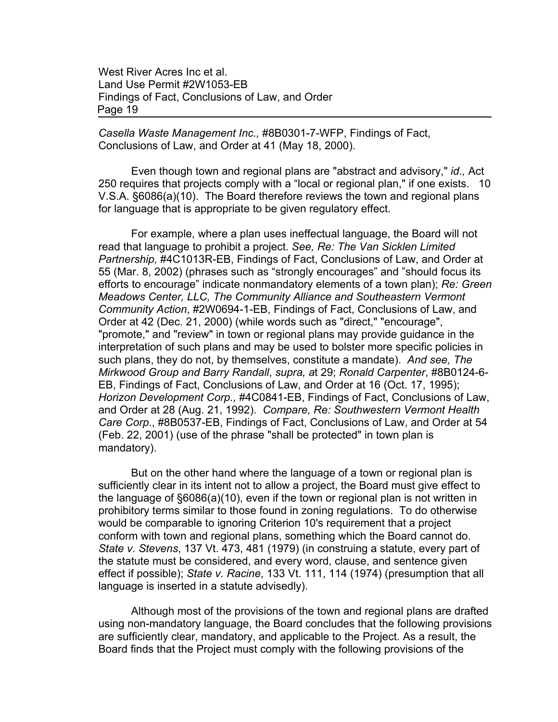*Casella Waste Management Inc.,* #8B0301-7-WFP, Findings of Fact, Conclusions of Law, and Order at 41 (May 18, 2000).

Even though town and regional plans are "abstract and advisory," *id.,* Act 250 requires that projects comply with a "local or regional plan," if one exists. 10 V.S.A. §6086(a)(10). The Board therefore reviews the town and regional plans for language that is appropriate to be given regulatory effect.

For example, where a plan uses ineffectual language, the Board will not read that language to prohibit a project. *See, Re: The Van Sicklen Limited Partnership,* #4C1013R-EB, Findings of Fact, Conclusions of Law, and Order at 55 (Mar. 8, 2002) (phrases such as "strongly encourages" and "should focus its efforts to encourage" indicate nonmandatory elements of a town plan); *Re: Green Meadows Center, LLC, The Community Alliance and Southeastern Vermont Community Action*, #2W0694-1-EB, Findings of Fact, Conclusions of Law, and Order at 42 (Dec. 21, 2000) (while words such as "direct," "encourage", "promote," and "review" in town or regional plans may provide guidance in the interpretation of such plans and may be used to bolster more specific policies in such plans, they do not, by themselves, constitute a mandate). *And see, The Mirkwood Group and Barry Randall*, *supra, a*t 29; *Ronald Carpenter*, #8B0124-6- EB, Findings of Fact, Conclusions of Law, and Order at 16 (Oct. 17, 1995); *Horizon Development Corp.,* #4C0841-EB, Findings of Fact, Conclusions of Law, and Order at 28 (Aug. 21, 1992). *Compare, Re: Southwestern Vermont Health Care Corp*., #8B0537-EB, Findings of Fact, Conclusions of Law, and Order at 54 (Feb. 22, 2001) (use of the phrase "shall be protected" in town plan is mandatory).

But on the other hand where the language of a town or regional plan is sufficiently clear in its intent not to allow a project, the Board must give effect to the language of §6086(a)(10), even if the town or regional plan is not written in prohibitory terms similar to those found in zoning regulations. To do otherwise would be comparable to ignoring Criterion 10's requirement that a project conform with town and regional plans, something which the Board cannot do. *State v. Stevens*, 137 Vt. 473, 481 (1979) (in construing a statute, every part of the statute must be considered, and every word, clause, and sentence given effect if possible); *State v. Racine*, 133 Vt. 111, 114 (1974) (presumption that all language is inserted in a statute advisedly).

Although most of the provisions of the town and regional plans are drafted using non-mandatory language, the Board concludes that the following provisions are sufficiently clear, mandatory, and applicable to the Project. As a result, the Board finds that the Project must comply with the following provisions of the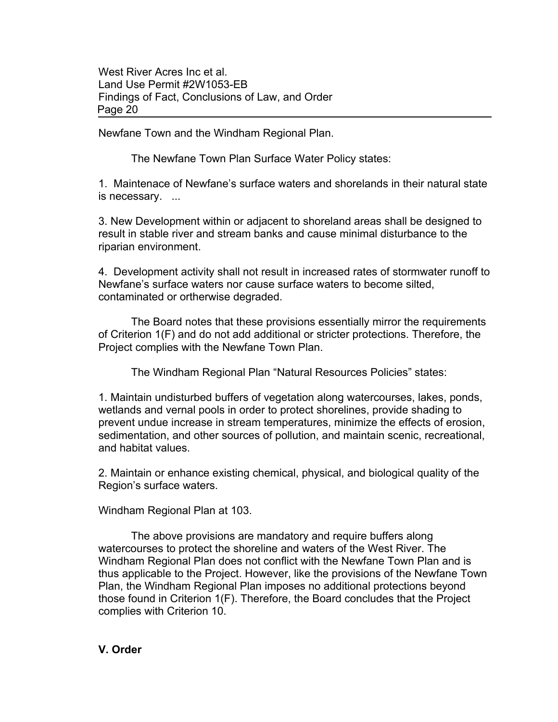Newfane Town and the Windham Regional Plan.

The Newfane Town Plan Surface Water Policy states:

1. Maintenace of Newfane's surface waters and shorelands in their natural state is necessary. ...

3. New Development within or adjacent to shoreland areas shall be designed to result in stable river and stream banks and cause minimal disturbance to the riparian environment.

4. Development activity shall not result in increased rates of stormwater runoff to Newfane's surface waters nor cause surface waters to become silted, contaminated or ortherwise degraded.

The Board notes that these provisions essentially mirror the requirements of Criterion 1(F) and do not add additional or stricter protections. Therefore, the Project complies with the Newfane Town Plan.

The Windham Regional Plan "Natural Resources Policies" states:

1. Maintain undisturbed buffers of vegetation along watercourses, lakes, ponds, wetlands and vernal pools in order to protect shorelines, provide shading to prevent undue increase in stream temperatures, minimize the effects of erosion, sedimentation, and other sources of pollution, and maintain scenic, recreational, and habitat values.

2. Maintain or enhance existing chemical, physical, and biological quality of the Region's surface waters.

Windham Regional Plan at 103.

The above provisions are mandatory and require buffers along watercourses to protect the shoreline and waters of the West River. The Windham Regional Plan does not conflict with the Newfane Town Plan and is thus applicable to the Project. However, like the provisions of the Newfane Town Plan, the Windham Regional Plan imposes no additional protections beyond those found in Criterion 1(F). Therefore, the Board concludes that the Project complies with Criterion 10.

## **V. Order**